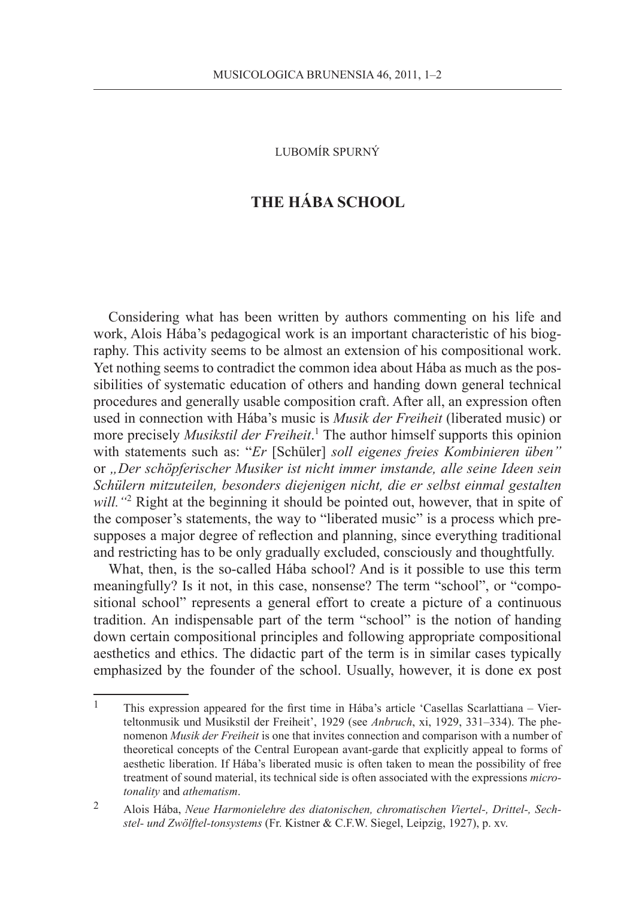Lubomír Spurný

## **The Hába School**

Considering what has been written by authors commenting on his life and work, Alois Hába's pedagogical work is an important characteristic of his biography. This activity seems to be almost an extension of his compositional work. Yet nothing seems to contradict the common idea about Hába as much as the possibilities of systematic education of others and handing down general technical procedures and generally usable composition craft. After all, an expression often used in connection with Hába's music is *Musik der Freiheit* (liberated music) or more precisely *Musikstil der Freiheit*. 1 The author himself supports this opinion with statements such as: "*Er* [Schüler] *soll eigenes freies Kombinieren üben"* or *"Der schöpferischer Musiker ist nicht immer imstande, alle seine Ideen sein Schülern mitzuteilen, besonders diejenigen nicht, die er selbst einmal gestalten*  will. "<sup>2</sup> Right at the beginning it should be pointed out, however, that in spite of the composer's statements, the way to "liberated music" is a process which presupposes a major degree of reflection and planning, since everything traditional and restricting has to be only gradually excluded, consciously and thoughtfully.

What, then, is the so-called Hába school? And is it possible to use this term meaningfully? Is it not, in this case, nonsense? The term "school", or "compositional school" represents a general effort to create a picture of a continuous tradition. An indispensable part of the term "school" is the notion of handing down certain compositional principles and following appropriate compositional aesthetics and ethics. The didactic part of the term is in similar cases typically emphasized by the founder of the school. Usually, however, it is done ex post

<sup>1</sup> This expression appeared for the first time in Hába's article 'Casellas Scarlattiana – Vierteltonmusik und Musikstil der Freiheit', 1929 (see *Anbruch*, xi, 1929, 331–334). The phenomenon *Musik der Freiheit* is one that invites connection and comparison with a number of theoretical concepts of the Central European avant-garde that explicitly appeal to forms of aesthetic liberation. If Hába's liberated music is often taken to mean the possibility of free treatment of sound material, its technical side is often associated with the expressions *microtonality* and *athematism*.

<sup>2</sup> Alois Hába, *Neue Harmonielehre des diatonischen, chromatischen Viertel-, Drittel-, Sechstel- und Zwölftel-tonsystems* (Fr. Kistner & C.F.W. Siegel, Leipzig, 1927), p. xv.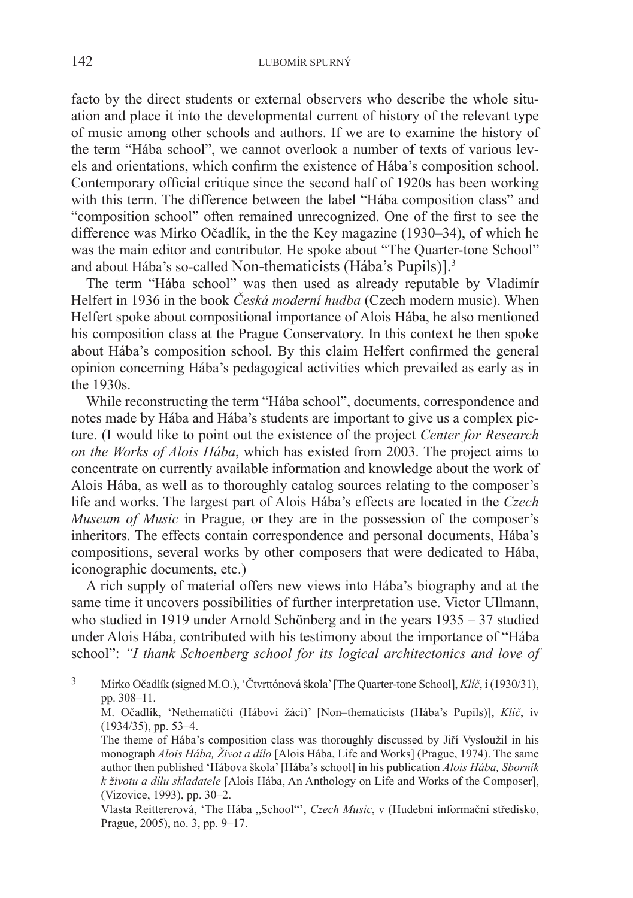facto by the direct students or external observers who describe the whole situation and place it into the developmental current of history of the relevant type of music among other schools and authors. If we are to examine the history of the term "Hába school", we cannot overlook a number of texts of various levels and orientations, which confirm the existence of Hába's composition school. Contemporary official critique since the second half of 1920s has been working with this term. The difference between the label "Hába composition class" and "composition school" often remained unrecognized. One of the first to see the difference was Mirko Očadlík, in the the Key magazine (1930–34), of which he was the main editor and contributor. He spoke about "The Quarter-tone School" and about Hába's so-called Non-thematicists (Hába's Pupils)].<sup>3</sup>

The term "Hába school" was then used as already reputable by Vladimír Helfert in 1936 in the book *Česká moderní hudba* (Czech modern music). When Helfert spoke about compositional importance of Alois Hába, he also mentioned his composition class at the Prague Conservatory. In this context he then spoke about Hába's composition school. By this claim Helfert confirmed the general opinion concerning Hába's pedagogical activities which prevailed as early as in the 1930s.

While reconstructing the term "Hába school", documents, correspondence and notes made by Hába and Hába's students are important to give us a complex picture. (I would like to point out the existence of the project *Center for Research on the Works of Alois Hába*, which has existed from 2003. The project aims to concentrate on currently available information and knowledge about the work of Alois Hába, as well as to thoroughly catalog sources relating to the composer's life and works. The largest part of Alois Hába's effects are located in the *Czech Museum of Music* in Prague, or they are in the possession of the composer's inheritors. The effects contain correspondence and personal documents, Hába's compositions, several works by other composers that were dedicated to Hába, iconographic documents, etc.)

A rich supply of material offers new views into Hába's biography and at the same time it uncovers possibilities of further interpretation use. Victor Ullmann, who studied in 1919 under Arnold Schönberg and in the years 1935 – 37 studied under Alois Hába, contributed with his testimony about the importance of "Hába school": *"I thank Schoenberg school for its logical architectonics and love of* 

<sup>3</sup> Mirko Očadlík (signed M.O.), 'Čtvrttónová škola' [The Quarter-tone School], *Klíč*, i (1930/31), pp. 308–11.

M. Očadlík, 'Nethematičtí (Hábovi žáci)' [Non–thematicists (Hába's Pupils)], *Klíč*, iv (1934/35), pp. 53–4.

The theme of Hába's composition class was thoroughly discussed by Jiří Vysloužil in his monograph *Alois Hába, Život a dílo* [Alois Hába, Life and Works] (Prague, 1974). The same author then published 'Hábova škola' [Hába's school] in his publication *Alois Hába, Sborník k životu a dílu skladatele* [Alois Hába, An Anthology on Life and Works of the Composer], (Vizovice, 1993), pp. 30–2.

Vlasta Reittererová, 'The Hába "School"', Czech Music, v (Hudební informační středisko, Prague, 2005), no. 3, pp. 9–17.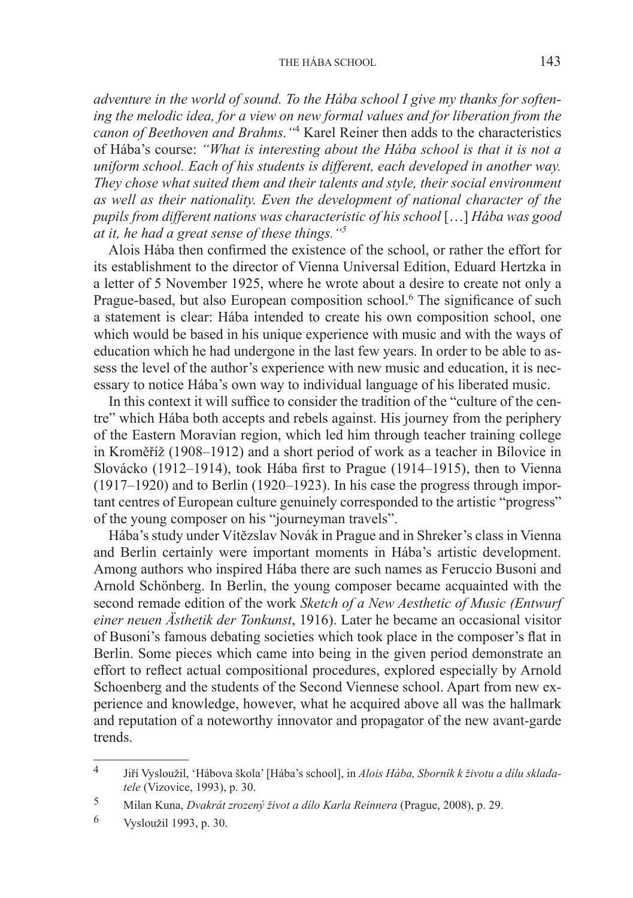## THE HÁBA SCHOOL 143

*adventure in the world of sound. To the Hába school I give my thanks for softening the melodic idea, for a view on new formal values and for liberation from the canon of Beethoven and Brahms."*<sup>4</sup> Karel Reiner then adds to the characteristics of Hába's course: *"What is interesting about the Hába school is that it is not a uniform school. Each of his students is different, each developed in another way. They chose what suited them and their talents and style, their social environment as well as their nationality. Even the development of national character of the pupils from different nations was characteristic of his school* […] *Hába was good at it, he had a great sense of these things."5*

Alois Hába then confirmed the existence of the school, or rather the effort for its establishment to the director of Vienna Universal Edition, Eduard Hertzka in a letter of 5 November 1925, where he wrote about a desire to create not only a Prague-based, but also European composition school.<sup>6</sup> The significance of such a statement is clear: Hába intended to create his own composition school, one which would be based in his unique experience with music and with the ways of education which he had undergone in the last few years. In order to be able to assess the level of the author's experience with new music and education, it is necessary to notice Hába's own way to individual language of his liberated music.

In this context it will suffice to consider the tradition of the "culture of the centre" which Hába both accepts and rebels against. His journey from the periphery of the Eastern Moravian region, which led him through teacher training college in Kroměříž (1908–1912) and a short period of work as a teacher in Bílovice in Slovácko (1912–1914), took Hába first to Prague (1914–1915), then to Vienna (1917–1920) and to Berlin (1920–1923). In his case the progress through important centres of European culture genuinely corresponded to the artistic "progress" of the young composer on his "journeyman travels".

Hába's study under Vítězslav Novák in Prague and in Shreker's class in Vienna and Berlin certainly were important moments in Hába's artistic development. Among authors who inspired Hába there are such names as Feruccio Busoni and Arnold Schönberg. In Berlin, the young composer became acquainted with the second remade edition of the work *Sketch of a New Aesthetic of Music (Entwurf einer neuen Ästhetik der Tonkunst*, 1916). Later he became an occasional visitor of Busoni's famous debating societies which took place in the composer's flat in Berlin. Some pieces which came into being in the given period demonstrate an effort to reflect actual compositional procedures, explored especially by Arnold Schoenberg and the students of the Second Viennese school. Apart from new experience and knowledge, however, what he acquired above all was the hallmark and reputation of a noteworthy innovator and propagator of the new avant-garde trends.

<sup>4</sup> Jiří Vysloužil, 'Hábova škola' [Hába's school], in *Alois Hába, Sborník k životu a dílu skladatele* (Vizovice, 1993), p. 30.

<sup>5</sup> Milan Kuna, *Dvakrát zrozený život a dílo Karla Reinnera* (Prague, 2008), p. 29.

<sup>6</sup> Vysloužil 1993, p. 30.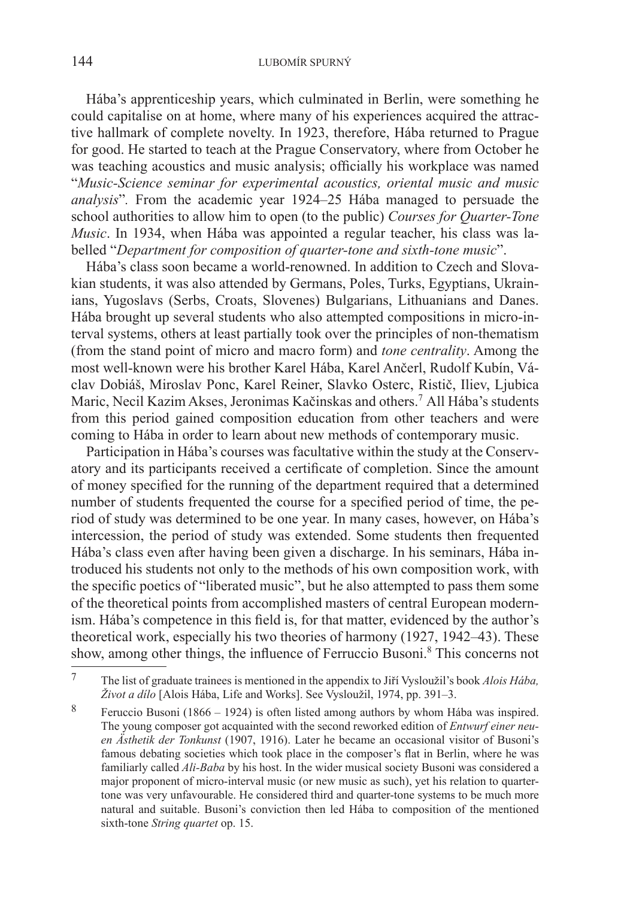Hába's apprenticeship years, which culminated in Berlin, were something he could capitalise on at home, where many of his experiences acquired the attractive hallmark of complete novelty. In 1923, therefore, Hába returned to Prague for good. He started to teach at the Prague Conservatory, where from October he was teaching acoustics and music analysis; officially his workplace was named "*Music-Science seminar for experimental acoustics, oriental music and music analysis*"*.* From the academic year 1924–25 Hába managed to persuade the school authorities to allow him to open (to the public) *Courses for Quarter-Tone Music*. In 1934, when Hába was appointed a regular teacher, his class was labelled "*Department for composition of quarter-tone and sixth-tone music*".

Hába's class soon became a world-renowned. In addition to Czech and Slovakian students, it was also attended by Germans, Poles, Turks, Egyptians, Ukrainians, Yugoslavs (Serbs, Croats, Slovenes) Bulgarians, Lithuanians and Danes. Hába brought up several students who also attempted compositions in micro-interval systems, others at least partially took over the principles of non-thematism (from the stand point of micro and macro form) and *tone centrality*. Among the most well-known were his brother Karel Hába, Karel Ančerl, Rudolf Kubín, Václav Dobiáš, Miroslav Ponc, Karel Reiner, Slavko Osterc, Ristič, Iliev, Ljubica Maric, Necil Kazim Akses, Jeronimas Kačinskas and others.<sup>7</sup> All Hába's students from this period gained composition education from other teachers and were coming to Hába in order to learn about new methods of contemporary music.

Participation in Hába's courses was facultative within the study at the Conservatory and its participants received a certificate of completion. Since the amount of money specified for the running of the department required that a determined number of students frequented the course for a specified period of time, the period of study was determined to be one year. In many cases, however, on Hába's intercession, the period of study was extended. Some students then frequented Hába's class even after having been given a discharge. In his seminars, Hába introduced his students not only to the methods of his own composition work, with the specific poetics of "liberated music", but he also attempted to pass them some of the theoretical points from accomplished masters of central European modernism. Hába's competence in this field is, for that matter, evidenced by the author's theoretical work, especially his two theories of harmony (1927, 1942–43). These show, among other things, the influence of Ferruccio Busoni.<sup>8</sup> This concerns not

<sup>7</sup> The list of graduate trainees is mentioned in the appendix to Jiří Vysloužil's book *Alois Hába, Život a dílo* [Alois Hába, Life and Works]. See Vysloužil, 1974, pp. 391–3.

<sup>8</sup> Feruccio Busoni (1866 – 1924) is often listed among authors by whom Hába was inspired. The young composer got acquainted with the second reworked edition of *Entwurf einer neuen Ästhetik der Tonkunst* (1907, 1916). Later he became an occasional visitor of Busoni's famous debating societies which took place in the composer's flat in Berlin, where he was familiarly called *Ali-Baba* by his host. In the wider musical society Busoni was considered a major proponent of micro-interval music (or new music as such), yet his relation to quartertone was very unfavourable. He considered third and quarter-tone systems to be much more natural and suitable. Busoni's conviction then led Hába to composition of the mentioned sixth-tone *String quartet* op. 15.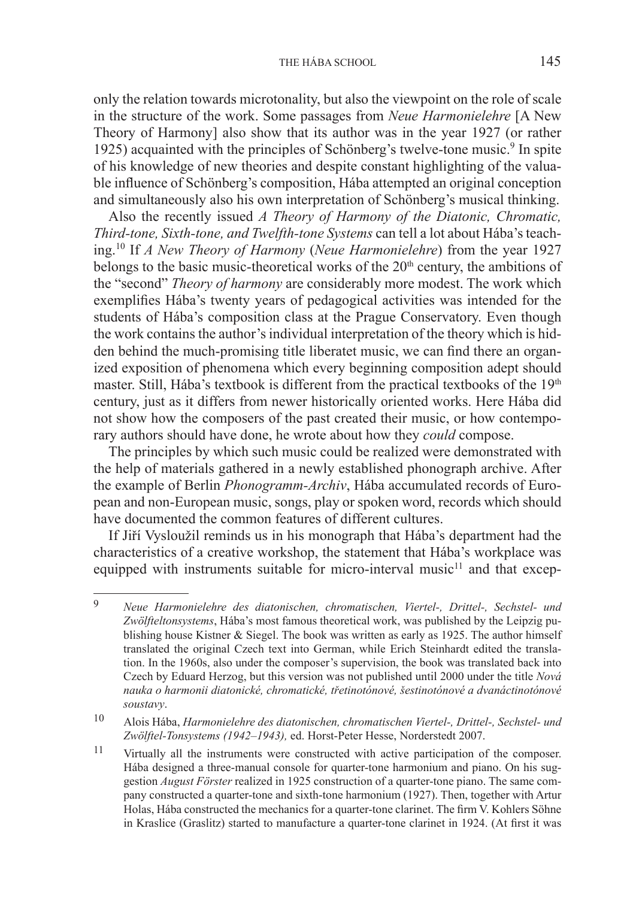only the relation towards microtonality, but also the viewpoint on the role of scale in the structure of the work. Some passages from *Neue Harmonielehre* [A New Theory of Harmony] also show that its author was in the year 1927 (or rather 1925) acquainted with the principles of Schönberg's twelve-tone music.<sup>9</sup> In spite of his knowledge of new theories and despite constant highlighting of the valuable influence of Schönberg's composition, Hába attempted an original conception and simultaneously also his own interpretation of Schönberg's musical thinking.

Also the recently issued *A Theory of Harmony of the Diatonic, Chromatic, Third-tone, Sixth-tone, and Twelfth-tone Systems* can tell a lot about Hába's teaching.10 If *A New Theory of Harmony* (*Neue Harmonielehre*) from the year 1927 belongs to the basic music-theoretical works of the  $20<sup>th</sup>$  century, the ambitions of the "second" *Theory of harmony* are considerably more modest. The work which exemplifies Hába's twenty years of pedagogical activities was intended for the students of Hába's composition class at the Prague Conservatory. Even though the work contains the author's individual interpretation of the theory which is hidden behind the much-promising title liberatet music, we can find there an organized exposition of phenomena which every beginning composition adept should master. Still, Hába's textbook is different from the practical textbooks of the 19<sup>th</sup> century, just as it differs from newer historically oriented works. Here Hába did not show how the composers of the past created their music, or how contemporary authors should have done, he wrote about how they *could* compose.

The principles by which such music could be realized were demonstrated with the help of materials gathered in a newly established phonograph archive. After the example of Berlin *Phonogramm-Archiv*, Hába accumulated records of European and non-European music, songs, play or spoken word, records which should have documented the common features of different cultures.

If Jiří Vysloužil reminds us in his monograph that Hába's department had the characteristics of a creative workshop, the statement that Hába's workplace was equipped with instruments suitable for micro-interval music<sup>11</sup> and that excep-

<sup>9</sup> *Neue Harmonielehre des diatonischen, chromatischen, Viertel-, Drittel-, Sechstel- und Zwölfteltonsystems*, Hába's most famous theoretical work, was published by the Leipzig publishing house Kistner & Siegel. The book was written as early as 1925. The author himself translated the original Czech text into German, while Erich Steinhardt edited the translation. In the 1960s, also under the composer's supervision, the book was translated back into Czech by Eduard Herzog, but this version was not published until 2000 under the title *Nová nauka o harmonii diatonické, chromatické, třetinotónové, šestinotónové a dvanáctinotónové soustavy*.

<sup>10</sup> Alois Hába, *Harmonielehre des diatonischen, chromatischen Viertel-, Drittel-, Sechstel- und Zwölftel-Tonsystems (1942–1943),* ed. Horst-Peter Hesse, Norderstedt 2007.

<sup>11</sup> Virtually all the instruments were constructed with active participation of the composer. Hába designed a three-manual console for quarter-tone harmonium and piano. On his suggestion *August Förster* realized in 1925 construction of a quarter-tone piano. The same company constructed a quarter-tone and sixth-tone harmonium (1927). Then, together with Artur Holas, Hába constructed the mechanics for a quarter-tone clarinet. The firm V. Kohlers Söhne in Kraslice (Graslitz) started to manufacture a quarter-tone clarinet in 1924. (At first it was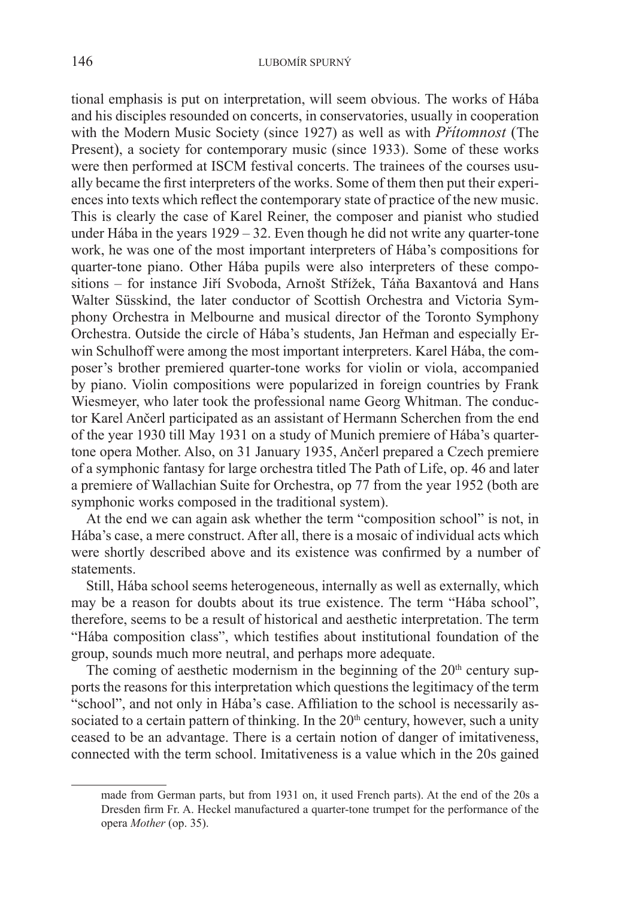tional emphasis is put on interpretation, will seem obvious. The works of Hába and his disciples resounded on concerts, in conservatories, usually in cooperation with the Modern Music Society (since 1927) as well as with *Přítomnost* (The Present), a society for contemporary music (since 1933). Some of these works were then performed at ISCM festival concerts. The trainees of the courses usually became the first interpreters of the works. Some of them then put their experiences into texts which reflect the contemporary state of practice of the new music. This is clearly the case of Karel Reiner, the composer and pianist who studied under Hába in the years 1929 – 32. Even though he did not write any quarter-tone work, he was one of the most important interpreters of Hába's compositions for quarter-tone piano. Other Hába pupils were also interpreters of these compositions – for instance Jiří Svoboda, Arnošt Střížek, Táňa Baxantová and Hans Walter Süsskind, the later conductor of Scottish Orchestra and Victoria Symphony Orchestra in Melbourne and musical director of the Toronto Symphony Orchestra. Outside the circle of Hába's students, Jan Heřman and especially Erwin Schulhoff were among the most important interpreters. Karel Hába, the composer's brother premiered quarter-tone works for violin or viola, accompanied by piano. Violin compositions were popularized in foreign countries by Frank Wiesmeyer, who later took the professional name Georg Whitman. The conductor Karel Ančerl participated as an assistant of Hermann Scherchen from the end of the year 1930 till May 1931 on a study of Munich premiere of Hába's quartertone opera Mother. Also, on 31 January 1935, Ančerl prepared a Czech premiere of a symphonic fantasy for large orchestra titled The Path of Life, op. 46 and later a premiere of Wallachian Suite for Orchestra, op 77 from the year 1952 (both are symphonic works composed in the traditional system).

At the end we can again ask whether the term "composition school" is not, in Hába's case, a mere construct. After all, there is a mosaic of individual acts which were shortly described above and its existence was confirmed by a number of statements.

Still, Hába school seems heterogeneous, internally as well as externally, which may be a reason for doubts about its true existence. The term "Hába school", therefore, seems to be a result of historical and aesthetic interpretation. The term "Hába composition class", which testifies about institutional foundation of the group, sounds much more neutral, and perhaps more adequate.

The coming of aesthetic modernism in the beginning of the  $20<sup>th</sup>$  century supports the reasons for this interpretation which questions the legitimacy of the term "school", and not only in Hába's case. Affiliation to the school is necessarily associated to a certain pattern of thinking. In the  $20<sup>th</sup>$  century, however, such a unity ceased to be an advantage. There is a certain notion of danger of imitativeness, connected with the term school. Imitativeness is a value which in the 20s gained

made from German parts, but from 1931 on, it used French parts). At the end of the 20s a Dresden firm Fr. A. Heckel manufactured a quarter-tone trumpet for the performance of the opera *Mother* (op. 35).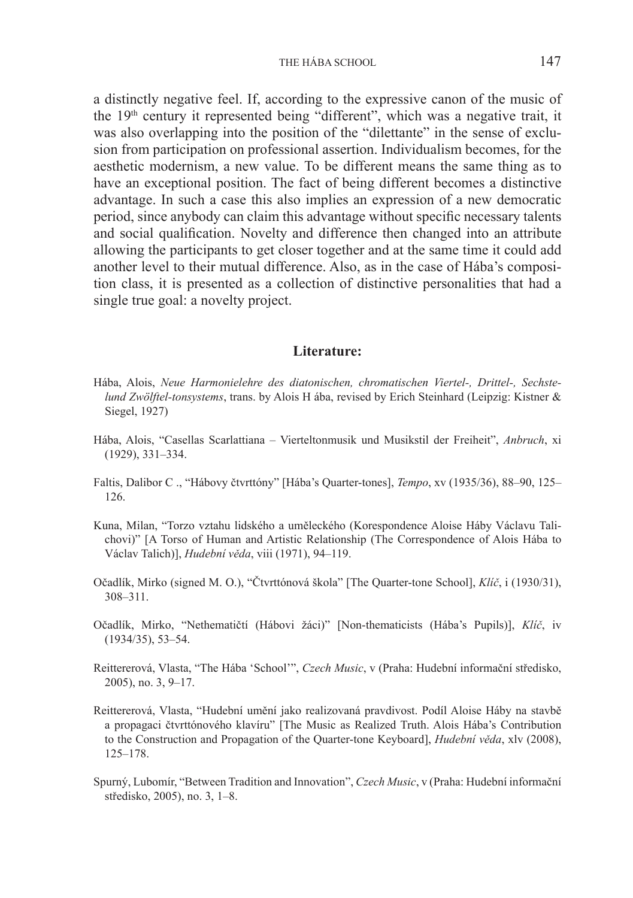THE HÁBA SCHOOL 147

a distinctly negative feel. If, according to the expressive canon of the music of the 19<sup>th</sup> century it represented being "different", which was a negative trait, it was also overlapping into the position of the "dilettante" in the sense of exclusion from participation on professional assertion. Individualism becomes, for the aesthetic modernism, a new value. To be different means the same thing as to have an exceptional position. The fact of being different becomes a distinctive advantage. In such a case this also implies an expression of a new democratic period, since anybody can claim this advantage without specific necessary talents and social qualification. Novelty and difference then changed into an attribute allowing the participants to get closer together and at the same time it could add another level to their mutual difference. Also, as in the case of Hába's composition class, it is presented as a collection of distinctive personalities that had a single true goal: a novelty project.

## **Literature:**

- Hába, Alois, *Neue Harmonielehre des diatonischen, chromatischen Viertel-, Drittel-, Sechstelund Zwölftel-tonsystems*, trans. by Alois H ába, revised by Erich Steinhard (Leipzig: Kistner & Siegel, 1927)
- Hába, Alois, "Casellas Scarlattiana Vierteltonmusik und Musikstil der Freiheit", *Anbruch*, xi (1929), 331–334.
- Faltis, Dalibor C ., "Hábovy čtvrttóny" [Hába's Quarter-tones], *Tempo*, xv (1935/36), 88–90, 125– 126.
- Kuna, Milan, "Torzo vztahu lidského a uměleckého (Korespondence Aloise Háby Václavu Talichovi)" [A Torso of Human and Artistic Relationship (The Correspondence of Alois Hába to Václav Talich)], *Hudební věda*, viii (1971), 94–119.
- Očadlík, Mirko (signed M. O.), "Čtvrttónová škola" [The Quarter-tone School], *Klíč*, i (1930/31), 308–311.
- Očadlík, Mirko, "Nethematičtí (Hábovi žáci)" [Non-thematicists (Hába's Pupils)], *Klíč*, iv (1934/35), 53–54.
- Reittererová, Vlasta, "The Hába 'School'", *Czech Music*, v (Praha: Hudební informační středisko, 2005), no. 3, 9–17.
- Reittererová, Vlasta, "Hudební umění jako realizovaná pravdivost. Podíl Aloise Háby na stavbě a propagaci čtvrttónového klavíru" [The Music as Realized Truth. Alois Hába's Contribution to the Construction and Propagation of the Quarter-tone Keyboard], *Hudební věda*, xlv (2008), 125–178.
- Spurný, Lubomír, "Between Tradition and Innovation", *Czech Music*, v (Praha: Hudební informační středisko, 2005), no. 3, 1–8.